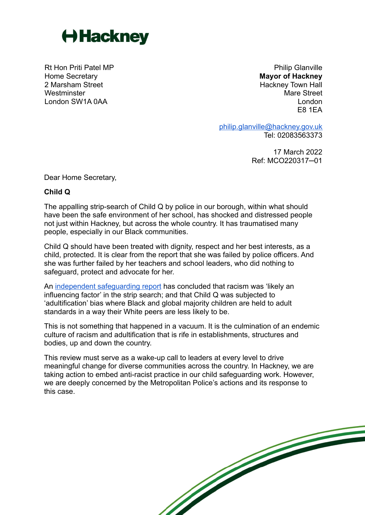

Rt Hon Priti Patel MP Home Secretary 2 Marsham Street **Westminster** London SW1A 0AA

Philip Glanville **Mayor of Hackney** Hackney Town Hall Mare Street London E8 1EA

[philip.glanville@hackney.gov.uk](mailto:philip.glanville@hackney.gov.uk) Tel: 02083563373

> 17 March 2022 Ref: MCO220317─01

Dear Home Secretary,

## **Child Q**

The appalling strip-search of Child Q by police in our borough, within what should have been the safe environment of her school, has shocked and distressed people not just within Hackney, but across the whole country. It has traumatised many people, especially in our Black communities.

Child Q should have been treated with dignity, respect and her best interests, as a child, protected. It is clear from the report that she was failed by police officers. And she was further failed by her teachers and school leaders, who did nothing to safeguard, protect and advocate for her.

An [independent safeguarding report](https://chscp.org.uk/wp-content/uploads/2022/03/Child-Q-PUBLISHED-14-March-22.pdf) has concluded that racism was 'likely an influencing factor' in the strip search; and that Child Q was subjected to 'adultification' bias where Black and global majority children are held to adult standards in a way their White peers are less likely to be.

This is not something that happened in a vacuum. It is the culmination of an endemic culture of racism and adultification that is rife in establishments, structures and bodies, up and down the country.

This review must serve as a wake-up call to leaders at every level to drive meaningful change for diverse communities across the country. In Hackney, we are taking action to embed anti-racist practice in our child safeguarding work. However, we are deeply concerned by the Metropolitan Police's actions and its response to this case.